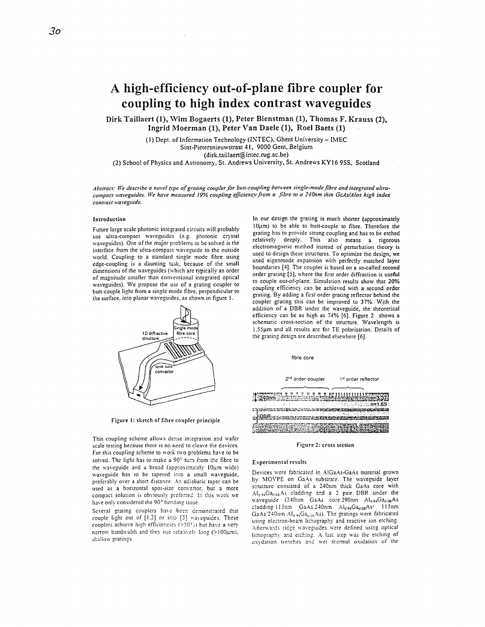# **A high-efficiency out-of-plane fibre coupler for coupling to high index contrast waveguides**

**Dirk Taillaert (l), Wim Bogaerts (l), Peter Bienstman** (I), **Thomas F. Krauss (2), Ingrid hloerman (l), Peter Van Daele (l), Roe1 Baets (1)** 

> **(I)** Dept. of Information Technology **(ISTEC).** Ghent University- IMEC Sint-Pietersnieuwstraat 41, 9000 Gent, Belgium **(dirk.taillaert@intec.rug.ac.be)**

**(2)** School of Physics and Astronomy, St. Andrews University. St. Andrews **KY16** *9%.* Scotland

Abstract: We describe a novel type of grating coupler for butt-coupling between single-mode fibre and integrated ultra*compact waveguides. We hut-e measitred 19% coupling eficiencv.from a .fibre to a 24Onm thin GcAs/Alox high index contrust wavegiride.* 

## Introduction

Future large scale photonic integrated circuits will probably use ultra-compact waveguides (e.g. photonic crystal \vaveguides). One of the major prohlems to be solved is the interface from the ultra-compact waveguide to the outside world. Coupling to **a** standard single mode fibre using edge-coupling is a daunting task, because of the small dimensions of the waveguides (which are typically an order of magnitude smaller than conventional integrated optical waveguides). We propose the use of a grating coupler to butt-couple light from a single mode fibre, perpendicular to the surface, into planar waveguides, as shown in figure 1.



Figure **1:** sketch **of** fibre coupler principle

This coupling scheme allows dense integration and wafer scale testing because there is no need to cleave the devices. For this coupling scheme to work two problems have to be solved. The light has to make a 90<sup>°</sup> turn from the fibre to the waveguide and a broad (approximately 10um wide) aaveguiae has *to* be tapered in:o a small waveguide, preferably over a short distance. An adiabatic taper can be used as a horizontal spot-size convertor, but a more compact solution is obviously preferred. In this work we have only considered the 90° bending issue.

Several grating couplers have been demonstrated that couple light out of  $[1,2]$  or into  $[3]$  waveguides. These couplers achieve high efficiencies ( $>50°$ 5) but have a very narrow bandwidth and they use relatively long (>100um). shallow gratings

In our design the grating is much shorter (approximately  $10\mu$ m) to be able to butt-couple to fibre. Therefore the grating has to provide sirong coupling and has to be etched relatively deeply. This also means a rigorous electromagnetic method instead of perturbation theory is used to design these structures. TO optimize the design, **we**  used eigenmode expansion with perfectly matched layer boundaries [4]. The coupler is based on a so-called second order grating [SI. where the first order diffraction is **useful**  to couple out-of-plane. Simulation results show that **20%**  coupling efficiency can be achieved with a second order grating. By adding a first order gating reflector behind the coupler grating this can be improved to **37%.** With the addition of a DBR under the uaveguide, the theoretical efficiency can be as high as 74% *[6].* Figure **2** shows a schematic cross-section of the structure. Wavelength is **1.55pm** and all results aie for TE polarisation. Details of the grating design are described else\vhere *[6].* 



Figure *1:* cross section

### Esperimental results

Devices were fabricated in AlGaAs-GaAs material grown by MOVPE on GaAs substrate. The waveguide layer structure consisted of a 240nm thick GaAs core with Al<sub>0.94</sub>Ga<sub>0.66</sub>As cladding and a 2 pair DBR under the waveguide (240nm GaAs core.290nm Al<sub>0.94</sub>Ga<sub>0.06</sub>As cladding I l5nn (33.45 240nrn **hluwG~U6A~!** I15nm GaAs/240nm Al<sub>04</sub>;Ga<sub>00e</sub>As). The gratings were fabricated using electron-beam lithography and reactive ion etching. ising creenon-ocally milography and reactive for evening.<br>Afterwards ridge waveguides were defined using optical lithography and etching. A last step was the etching of oxydation trenches and wet thermal oxidation of the